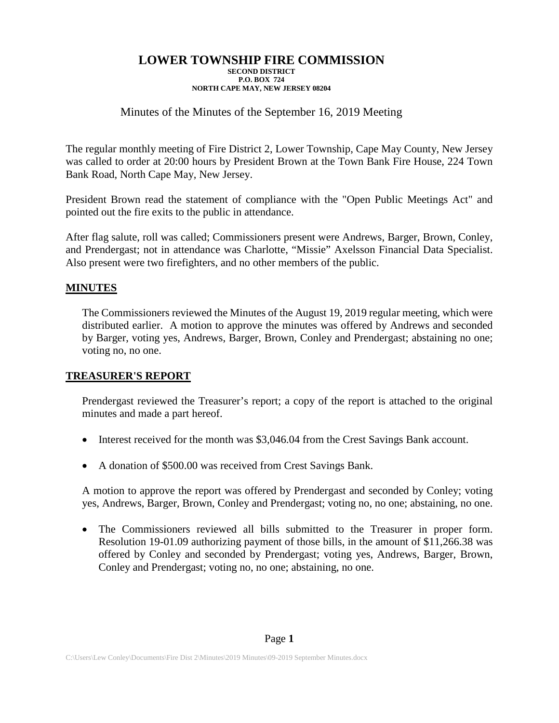## Minutes of the Minutes of the September 16, 2019 Meeting

The regular monthly meeting of Fire District 2, Lower Township, Cape May County, New Jersey was called to order at 20:00 hours by President Brown at the Town Bank Fire House, 224 Town Bank Road, North Cape May, New Jersey.

President Brown read the statement of compliance with the "Open Public Meetings Act" and pointed out the fire exits to the public in attendance.

After flag salute, roll was called; Commissioners present were Andrews, Barger, Brown, Conley, and Prendergast; not in attendance was Charlotte, "Missie" Axelsson Financial Data Specialist. Also present were two firefighters, and no other members of the public.

### **MINUTES**

The Commissioners reviewed the Minutes of the August 19, 2019 regular meeting, which were distributed earlier. A motion to approve the minutes was offered by Andrews and seconded by Barger, voting yes, Andrews, Barger, Brown, Conley and Prendergast; abstaining no one; voting no, no one.

### **TREASURER'S REPORT**

Prendergast reviewed the Treasurer's report; a copy of the report is attached to the original minutes and made a part hereof.

- Interest received for the month was \$3,046.04 from the Crest Savings Bank account.
- A donation of \$500.00 was received from Crest Savings Bank.

A motion to approve the report was offered by Prendergast and seconded by Conley; voting yes, Andrews, Barger, Brown, Conley and Prendergast; voting no, no one; abstaining, no one.

• The Commissioners reviewed all bills submitted to the Treasurer in proper form. Resolution 19-01.09 authorizing payment of those bills, in the amount of \$11,266.38 was offered by Conley and seconded by Prendergast; voting yes, Andrews, Barger, Brown, Conley and Prendergast; voting no, no one; abstaining, no one.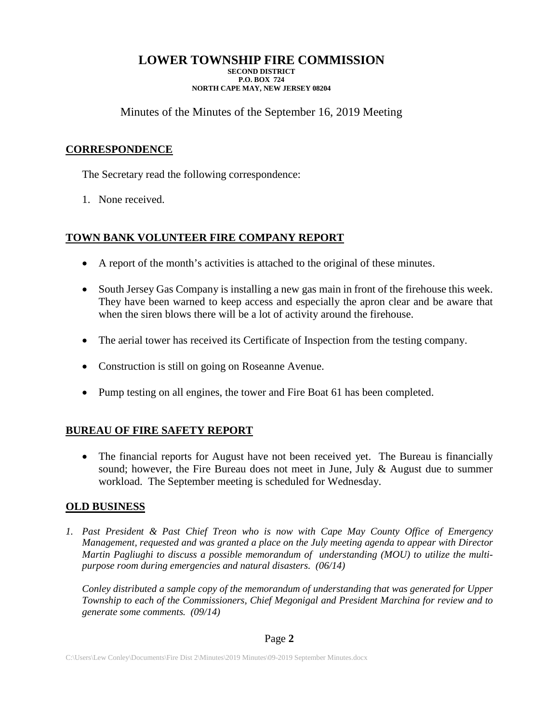Minutes of the Minutes of the September 16, 2019 Meeting

# **CORRESPONDENCE**

The Secretary read the following correspondence:

1. None received.

# **TOWN BANK VOLUNTEER FIRE COMPANY REPORT**

- A report of the month's activities is attached to the original of these minutes.
- South Jersey Gas Company is installing a new gas main in front of the firehouse this week. They have been warned to keep access and especially the apron clear and be aware that when the siren blows there will be a lot of activity around the firehouse.
- The aerial tower has received its Certificate of Inspection from the testing company.
- Construction is still on going on Roseanne Avenue.
- Pump testing on all engines, the tower and Fire Boat 61 has been completed.

# **BUREAU OF FIRE SAFETY REPORT**

• The financial reports for August have not been received yet. The Bureau is financially sound; however, the Fire Bureau does not meet in June, July  $\&$  August due to summer workload. The September meeting is scheduled for Wednesday.

### **OLD BUSINESS**

*1. Past President & Past Chief Treon who is now with Cape May County Office of Emergency Management, requested and was granted a place on the July meeting agenda to appear with Director Martin Pagliughi to discuss a possible memorandum of understanding (MOU) to utilize the multipurpose room during emergencies and natural disasters. (06/14)*

*Conley distributed a sample copy of the memorandum of understanding that was generated for Upper Township to each of the Commissioners, Chief Megonigal and President Marchina for review and to generate some comments. (09/14)*

### Page **2**

C:\Users\Lew Conley\Documents\Fire Dist 2\Minutes\2019 Minutes\09-2019 September Minutes.docx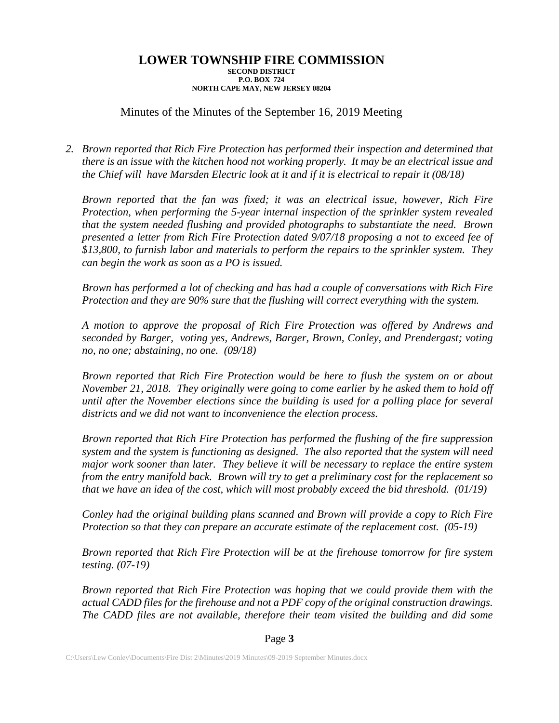## Minutes of the Minutes of the September 16, 2019 Meeting

*2. Brown reported that Rich Fire Protection has performed their inspection and determined that there is an issue with the kitchen hood not working properly. It may be an electrical issue and the Chief will have Marsden Electric look at it and if it is electrical to repair it (08/18)*

*Brown reported that the fan was fixed; it was an electrical issue, however, Rich Fire Protection, when performing the 5-year internal inspection of the sprinkler system revealed that the system needed flushing and provided photographs to substantiate the need. Brown presented a letter from Rich Fire Protection dated 9/07/18 proposing a not to exceed fee of \$13,800, to furnish labor and materials to perform the repairs to the sprinkler system. They can begin the work as soon as a PO is issued.*

*Brown has performed a lot of checking and has had a couple of conversations with Rich Fire Protection and they are 90% sure that the flushing will correct everything with the system.*

*A motion to approve the proposal of Rich Fire Protection was offered by Andrews and seconded by Barger, voting yes, Andrews, Barger, Brown, Conley, and Prendergast; voting no, no one; abstaining, no one. (09/18)*

*Brown reported that Rich Fire Protection would be here to flush the system on or about November 21, 2018. They originally were going to come earlier by he asked them to hold off until after the November elections since the building is used for a polling place for several districts and we did not want to inconvenience the election process.*

*Brown reported that Rich Fire Protection has performed the flushing of the fire suppression system and the system is functioning as designed. The also reported that the system will need major work sooner than later. They believe it will be necessary to replace the entire system from the entry manifold back. Brown will try to get a preliminary cost for the replacement so that we have an idea of the cost, which will most probably exceed the bid threshold. (01/19)*

*Conley had the original building plans scanned and Brown will provide a copy to Rich Fire Protection so that they can prepare an accurate estimate of the replacement cost. (05-19)*

*Brown reported that Rich Fire Protection will be at the firehouse tomorrow for fire system testing. (07-19)*

*Brown reported that Rich Fire Protection was hoping that we could provide them with the actual CADD files for the firehouse and not a PDF copy of the original construction drawings. The CADD files are not available, therefore their team visited the building and did some*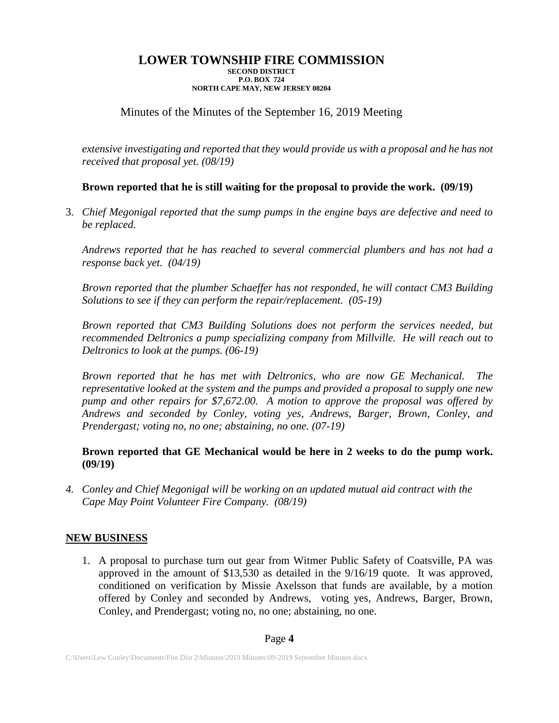# Minutes of the Minutes of the September 16, 2019 Meeting

*extensive investigating and reported that they would provide us with a proposal and he has not received that proposal yet. (08/19)*

## **Brown reported that he is still waiting for the proposal to provide the work. (09/19)**

3. *Chief Megonigal reported that the sump pumps in the engine bays are defective and need to be replaced.*

*Andrews reported that he has reached to several commercial plumbers and has not had a response back yet. (04/19)*

*Brown reported that the plumber Schaeffer has not responded, he will contact CM3 Building Solutions to see if they can perform the repair/replacement. (05-19)*

*Brown reported that CM3 Building Solutions does not perform the services needed, but recommended Deltronics a pump specializing company from Millville. He will reach out to Deltronics to look at the pumps. (06-19)*

*Brown reported that he has met with Deltronics, who are now GE Mechanical. The representative looked at the system and the pumps and provided a proposal to supply one new pump and other repairs for \$7,672.00. A motion to approve the proposal was offered by Andrews and seconded by Conley, voting yes, Andrews, Barger, Brown, Conley, and Prendergast; voting no, no one; abstaining, no one. (07-19)*

## **Brown reported that GE Mechanical would be here in 2 weeks to do the pump work. (09/19)**

*4. Conley and Chief Megonigal will be working on an updated mutual aid contract with the Cape May Point Volunteer Fire Company. (08/19)*

### **NEW BUSINESS**

1. A proposal to purchase turn out gear from Witmer Public Safety of Coatsville, PA was approved in the amount of \$13,530 as detailed in the 9/16/19 quote. It was approved, conditioned on verification by Missie Axelsson that funds are available, by a motion offered by Conley and seconded by Andrews, voting yes, Andrews, Barger, Brown, Conley, and Prendergast; voting no, no one; abstaining, no one.